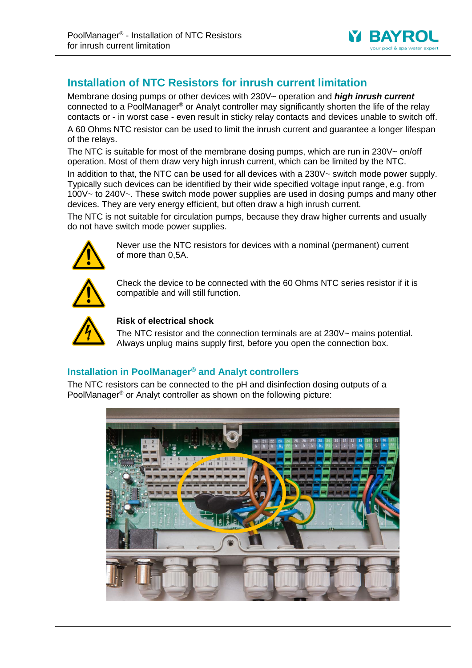

## **Installation of NTC Resistors for inrush current limitation**

Membrane dosing pumps or other devices with 230V~ operation and *high inrush current* connected to a PoolManager® or Analyt controller may significantly shorten the life of the relay contacts or - in worst case - even result in sticky relay contacts and devices unable to switch off.

A 60 Ohms NTC resistor can be used to limit the inrush current and guarantee a longer lifespan of the relays.

The NTC is suitable for most of the membrane dosing pumps, which are run in 230V $\sim$  on/off operation. Most of them draw very high inrush current, which can be limited by the NTC.

In addition to that, the NTC can be used for all devices with a 230V~ switch mode power supply. Typically such devices can be identified by their wide specified voltage input range, e.g. from 100V~ to 240V~. These switch mode power supplies are used in dosing pumps and many other devices. They are very energy efficient, but often draw a high inrush current.

The NTC is not suitable for circulation pumps, because they draw higher currents and usually do not have switch mode power supplies.



Never use the NTC resistors for devices with a nominal (permanent) current of more than 0,5A.



Check the device to be connected with the 60 Ohms NTC series resistor if it is compatible and will still function.



## **Risk of electrical shock**

The NTC resistor and the connection terminals are at 230V~ mains potential. Always unplug mains supply first, before you open the connection box.

## **Installation in PoolManager® and Analyt controllers**

The NTC resistors can be connected to the pH and disinfection dosing outputs of a PoolManager® or Analyt controller as shown on the following picture: